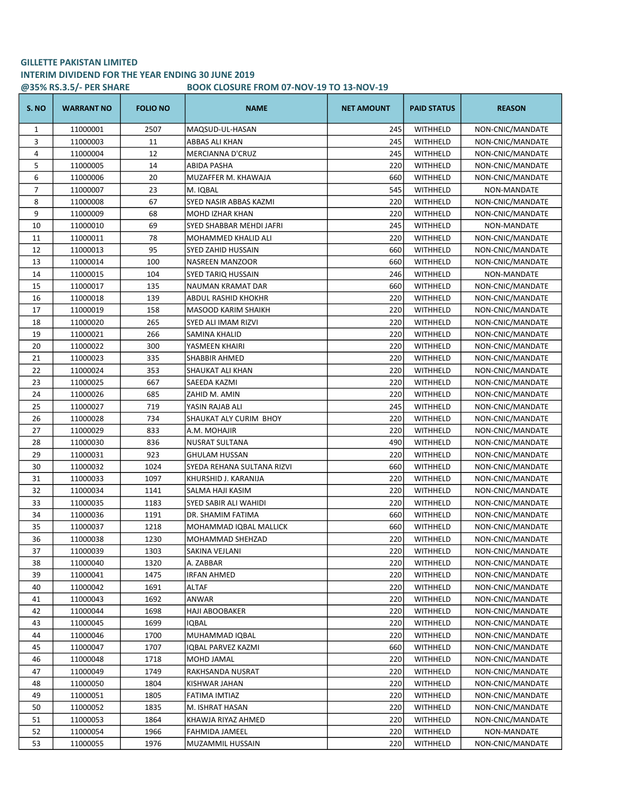## GILLETTE PAKISTAN LIMITED INTERIM DIVIDEND FOR THE YEAR ENDING 30 JUNE 2019 @35% RS.3.5/- PER SHARE BOOK CLOSURE FROM 07-NOV-19 TO 13-NOV-19

| S. NO | <b>WARRANT NO</b> | <b>FOLIO NO</b> | <b>NAME</b>                | <b>NET AMOUNT</b> | <b>PAID STATUS</b> | <b>REASON</b>    |
|-------|-------------------|-----------------|----------------------------|-------------------|--------------------|------------------|
| 1     | 11000001          | 2507            | MAQSUD-UL-HASAN            | 245               | WITHHELD           | NON-CNIC/MANDATE |
| 3     | 11000003          | 11              | ABBAS ALI KHAN             | 245               | WITHHELD           | NON-CNIC/MANDATE |
| 4     | 11000004          | 12              | <b>MERCIANNA D'CRUZ</b>    | 245               | WITHHELD           | NON-CNIC/MANDATE |
| 5     | 11000005          | 14              | ABIDA PASHA                | 220               | WITHHELD           | NON-CNIC/MANDATE |
| 6     | 11000006          | 20              | MUZAFFER M. KHAWAJA        | 660               | WITHHELD           | NON-CNIC/MANDATE |
| 7     | 11000007          | 23              | M. IQBAL                   | 545               | WITHHELD           | NON-MANDATE      |
| 8     | 11000008          | 67              | SYED NASIR ABBAS KAZMI     | 220               | WITHHELD           | NON-CNIC/MANDATE |
| 9     | 11000009          | 68              | MOHD IZHAR KHAN            | 220               | WITHHELD           | NON-CNIC/MANDATE |
| 10    | 11000010          | 69              | SYED SHABBAR MEHDI JAFRI   | 245               | WITHHELD           | NON-MANDATE      |
| 11    | 11000011          | 78              | MOHAMMED KHALID ALI        | 220               | WITHHELD           | NON-CNIC/MANDATE |
| 12    | 11000013          | 95              | SYED ZAHID HUSSAIN         | 660               | WITHHELD           | NON-CNIC/MANDATE |
| 13    | 11000014          | 100             | NASREEN MANZOOR            | 660               | WITHHELD           | NON-CNIC/MANDATE |
| 14    | 11000015          | 104             | SYED TARIQ HUSSAIN         | 246               | WITHHELD           | NON-MANDATE      |
| 15    | 11000017          | 135             | NAUMAN KRAMAT DAR          | 660               | WITHHELD           | NON-CNIC/MANDATE |
| 16    | 11000018          | 139             | ABDUL RASHID KHOKHR        | 220               | WITHHELD           | NON-CNIC/MANDATE |
| 17    | 11000019          | 158             | MASOOD KARIM SHAIKH        | 220               | WITHHELD           | NON-CNIC/MANDATE |
| 18    | 11000020          | 265             | SYED ALI IMAM RIZVI        | 220               | WITHHELD           | NON-CNIC/MANDATE |
| 19    | 11000021          | 266             | SAMINA KHALID              | 220               | WITHHELD           | NON-CNIC/MANDATE |
| 20    | 11000022          | 300             | YASMEEN KHAIRI             | 220               | WITHHELD           | NON-CNIC/MANDATE |
| 21    | 11000023          | 335             | <b>SHABBIR AHMED</b>       | 220               | WITHHELD           | NON-CNIC/MANDATE |
| 22    | 11000024          | 353             | SHAUKAT ALI KHAN           | 220               | WITHHELD           | NON-CNIC/MANDATE |
| 23    | 11000025          | 667             | SAEEDA KAZMI               | 220               | WITHHELD           | NON-CNIC/MANDATE |
| 24    | 11000026          | 685             | ZAHID M. AMIN              | 220               | WITHHELD           | NON-CNIC/MANDATE |
| 25    | 11000027          | 719             | YASIN RAJAB ALI            | 245               | WITHHELD           | NON-CNIC/MANDATE |
| 26    | 11000028          | 734             | SHAUKAT ALY CURIM BHOY     | 220               | WITHHELD           | NON-CNIC/MANDATE |
| 27    | 11000029          | 833             | A.M. MOHAJIR               | 220               | WITHHELD           | NON-CNIC/MANDATE |
| 28    | 11000030          | 836             | NUSRAT SULTANA             | 490               | <b>WITHHELD</b>    | NON-CNIC/MANDATE |
| 29    | 11000031          | 923             | <b>GHULAM HUSSAN</b>       | 220               | WITHHELD           | NON-CNIC/MANDATE |
| 30    | 11000032          | 1024            | SYEDA REHANA SULTANA RIZVI | 660               | WITHHELD           | NON-CNIC/MANDATE |
| 31    | 11000033          | 1097            | KHURSHID J. KARANIJA       | 220               | WITHHELD           | NON-CNIC/MANDATE |
| 32    | 11000034          | 1141            | SALMA HAJI KASIM           | 220               | WITHHELD           | NON-CNIC/MANDATE |
| 33    | 11000035          | 1183            | SYED SABIR ALI WAHIDI      | 220               | WITHHELD           | NON-CNIC/MANDATE |
| 34    | 11000036          | 1191            | DR. SHAMIM FATIMA          | 660               | <b>WITHHELD</b>    | NON-CNIC/MANDATE |
| 35    | 11000037          | 1218            | MOHAMMAD IQBAL MALLICK     | 660               | WITHHELD           | NON-CNIC/MANDATE |
| 36    | 11000038          | 1230            | MOHAMMAD SHEHZAD           | 220               | WITHHELD           | NON-CNIC/MANDATE |
| 37    | 11000039          | 1303            | SAKINA VEJLANI             | 220               | WITHHELD           | NON-CNIC/MANDATE |
| 38    | 11000040          | 1320            | A. ZABBAR                  | 220               | WITHHELD           | NON-CNIC/MANDATE |
| 39    | 11000041          | 1475            | IRFAN AHMED                | 220               | WITHHELD           | NON-CNIC/MANDATE |
| 40    | 11000042          | 1691            | ALTAF                      | 220               | WITHHELD           | NON-CNIC/MANDATE |
| 41    | 11000043          | 1692            | ANWAR                      | 220               | WITHHELD           | NON-CNIC/MANDATE |
| 42    | 11000044          | 1698            | HAJI ABOOBAKER             | 220               | WITHHELD           | NON-CNIC/MANDATE |
| 43    | 11000045          | 1699            | IQBAL                      | 220               | WITHHELD           | NON-CNIC/MANDATE |
| 44    | 11000046          | 1700            | MUHAMMAD IQBAL             | 220               | WITHHELD           | NON-CNIC/MANDATE |
| 45    | 11000047          | 1707            | IQBAL PARVEZ KAZMI         | 660               | WITHHELD           | NON-CNIC/MANDATE |
| 46    | 11000048          | 1718            | MOHD JAMAL                 | 220               | WITHHELD           | NON-CNIC/MANDATE |
| 47    | 11000049          | 1749            | RAKHSANDA NUSRAT           | 220               | WITHHELD           | NON-CNIC/MANDATE |
| 48    | 11000050          | 1804            | KISHWAR JAHAN              | 220               | WITHHELD           | NON-CNIC/MANDATE |
| 49    | 11000051          | 1805            | FATIMA IMTIAZ              | 220               | WITHHELD           | NON-CNIC/MANDATE |
| 50    | 11000052          | 1835            | M. ISHRAT HASAN            | 220               | WITHHELD           | NON-CNIC/MANDATE |
| 51    | 11000053          | 1864            | KHAWJA RIYAZ AHMED         | 220               | WITHHELD           | NON-CNIC/MANDATE |
| 52    | 11000054          | 1966            | FAHMIDA JAMEEL             | 220               | WITHHELD           | NON-MANDATE      |
| 53    | 11000055          | 1976            | MUZAMMIL HUSSAIN           | 220               | WITHHELD           | NON-CNIC/MANDATE |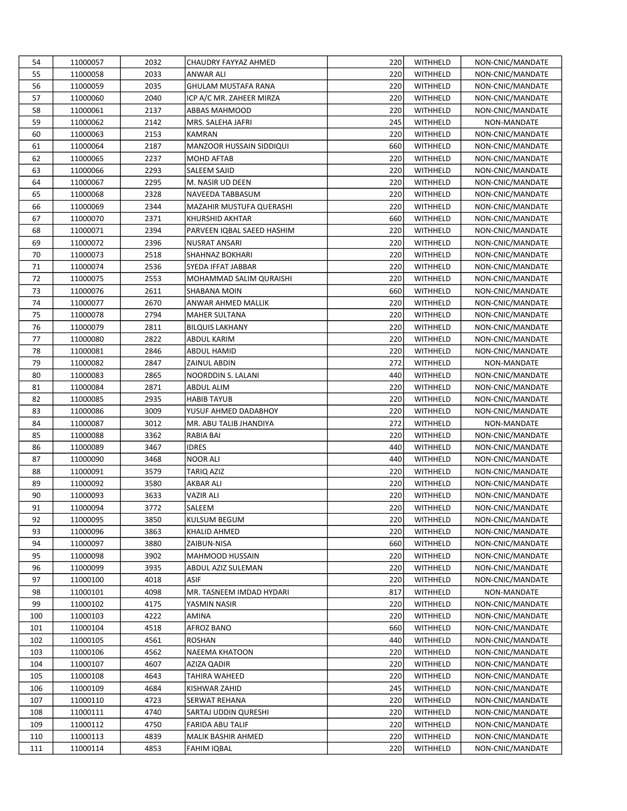| 54         | 11000057 | 2032         | CHAUDRY FAYYAZ AHMED       | 220        | WITHHELD             | NON-CNIC/MANDATE                     |
|------------|----------|--------------|----------------------------|------------|----------------------|--------------------------------------|
| 55         | 11000058 | 2033         | ANWAR ALI                  | 220        | WITHHELD             | NON-CNIC/MANDATE                     |
| 56         | 11000059 | 2035         | GHULAM MUSTAFA RANA        | 220        | WITHHELD             | NON-CNIC/MANDATE                     |
| 57         | 11000060 | 2040         | ICP A/C MR. ZAHEER MIRZA   | 220        | WITHHELD             | NON-CNIC/MANDATE                     |
| 58         | 11000061 | 2137         | <b>ABBAS MAHMOOD</b>       | 220        | WITHHELD             | NON-CNIC/MANDATE                     |
| 59         | 11000062 | 2142         | MRS. SALEHA JAFRI          | 245        | WITHHELD             | NON-MANDATE                          |
| 60         | 11000063 | 2153         | KAMRAN                     | 220        | WITHHELD             | NON-CNIC/MANDATE                     |
| 61         | 11000064 | 2187         | MANZOOR HUSSAIN SIDDIQUI   | 660        | WITHHELD             | NON-CNIC/MANDATE                     |
| 62         | 11000065 | 2237         | MOHD AFTAB                 | 220        | WITHHELD             | NON-CNIC/MANDATE                     |
| 63         | 11000066 | 2293         | SALEEM SAJID               | 220        | WITHHELD             | NON-CNIC/MANDATE                     |
| 64         | 11000067 | 2295         | M. NASIR UD DEEN           | 220        | WITHHELD             | NON-CNIC/MANDATE                     |
| 65         | 11000068 | 2328         | NAVEEDA TABBASUM           | 220        | <b>WITHHELD</b>      | NON-CNIC/MANDATE                     |
| 66         | 11000069 | 2344         | MAZAHIR MUSTUFA QUERASHI   | 220        | WITHHELD             | NON-CNIC/MANDATE                     |
| 67         | 11000070 | 2371         | KHURSHID AKHTAR            | 660        | WITHHELD             | NON-CNIC/MANDATE                     |
| 68         | 11000071 | 2394         | PARVEEN IQBAL SAEED HASHIM | 220        | WITHHELD             | NON-CNIC/MANDATE                     |
| 69         | 11000072 | 2396         | NUSRAT ANSARI              | 220        | WITHHELD             | NON-CNIC/MANDATE                     |
| 70         | 11000073 | 2518         | SHAHNAZ BOKHARI            | 220        | WITHHELD             | NON-CNIC/MANDATE                     |
| 71         | 11000074 | 2536         | SYEDA IFFAT JABBAR         | 220        | WITHHELD             | NON-CNIC/MANDATE                     |
| 72         | 11000075 | 2553         | MOHAMMAD SALIM QURAISHI    | 220        | WITHHELD             | NON-CNIC/MANDATE                     |
| 73         | 11000076 | 2611         | SHABANA MOIN               | 660        | WITHHELD             | NON-CNIC/MANDATE                     |
| 74         | 11000077 | 2670         | ANWAR AHMED MALLIK         | 220        | <b>WITHHELD</b>      | NON-CNIC/MANDATE                     |
| 75         | 11000078 | 2794         | <b>MAHER SULTANA</b>       | 220        | WITHHELD             | NON-CNIC/MANDATE                     |
| 76         | 11000079 | 2811         | <b>BILQUIS LAKHANY</b>     | 220        | WITHHELD             | NON-CNIC/MANDATE                     |
| 77         | 11000080 | 2822         | ABDUL KARIM                | 220        | WITHHELD             | NON-CNIC/MANDATE                     |
| 78         | 11000081 | 2846         | ABDUL HAMID                | 220        | WITHHELD             | NON-CNIC/MANDATE                     |
| 79         | 11000082 | 2847         | ZAINUL ABDIN               | 272        | WITHHELD             | NON-MANDATE                          |
| 80         | 11000083 | 2865         | NOORDDIN S. LALANI         | 440        | WITHHELD             | NON-CNIC/MANDATE                     |
| 81         | 11000084 | 2871         | ABDUL ALIM                 | 220        | WITHHELD             | NON-CNIC/MANDATE                     |
| 82         | 11000085 | 2935         | HABIB TAYUB                | 220        | WITHHELD             | NON-CNIC/MANDATE                     |
| 83         | 11000086 | 3009         | YUSUF AHMED DADABHOY       | 220        | WITHHELD             | NON-CNIC/MANDATE                     |
| 84         | 11000087 | 3012         | MR. ABU TALIB JHANDIYA     | 272        | WITHHELD             | NON-MANDATE                          |
| 85         | 11000088 | 3362         | RABIA BAI                  | 220        | WITHHELD             | NON-CNIC/MANDATE                     |
| 86         | 11000089 | 3467         | IDRES                      | 440        | WITHHELD             | NON-CNIC/MANDATE                     |
| 87         | 11000090 | 3468         | NOOR ALI                   | 440        | WITHHELD             | NON-CNIC/MANDATE                     |
| 88         | 11000091 | 3579         | TARIQ AZIZ                 | 220        | WITHHELD             | NON-CNIC/MANDATE                     |
| 89         | 11000092 | 3580         | AKBAR ALI                  | 220        | WITHHELD             | NON-CNIC/MANDATE                     |
| 90         | 11000093 | 3633         | VAZIR ALI                  | 220        | WITHHELD             | NON-CNIC/MANDATE                     |
| 91         | 11000094 | 3772         | SALEEM                     | 220        | WITHHELD             | NON-CNIC/MANDATE                     |
| 92         | 11000095 | 3850         | KULSUM BEGUM               | 220        | WITHHELD             | NON-CNIC/MANDATE                     |
| 93         | 11000096 | 3863         | KHALID AHMED               | 220        | WITHHELD             | NON-CNIC/MANDATE                     |
| 94         | 11000097 | 3880         | ZAIBUN-NISA                | 660        | WITHHELD             | NON-CNIC/MANDATE                     |
| 95         | 11000098 | 3902         | MAHMOOD HUSSAIN            |            | WITHHELD             | NON-CNIC/MANDATE                     |
| 96         | 11000099 | 3935         | ABDUL AZIZ SULEMAN         | 220<br>220 | WITHHELD             | NON-CNIC/MANDATE                     |
| 97         | 11000100 | 4018         | ASIF                       | 220        | WITHHELD             | NON-CNIC/MANDATE                     |
| 98         | 11000101 | 4098         | MR. TASNEEM IMDAD HYDARI   | 817        | WITHHELD             | NON-MANDATE                          |
| 99         | 11000102 | 4175         | YASMIN NASIR               | 220        | WITHHELD             | NON-CNIC/MANDATE                     |
| 100        | 11000103 | 4222         |                            |            | WITHHELD             | NON-CNIC/MANDATE                     |
|            |          |              | AMINA                      | 220        |                      |                                      |
| 101<br>102 | 11000104 | 4518<br>4561 | AFROZ BANO                 | 660<br>440 | WITHHELD<br>WITHHELD | NON-CNIC/MANDATE<br>NON-CNIC/MANDATE |
|            | 11000105 |              | ROSHAN                     |            |                      |                                      |
| 103        | 11000106 | 4562         | NAEEMA KHATOON             | 220        | WITHHELD             | NON-CNIC/MANDATE                     |
| 104        | 11000107 | 4607         | AZIZA QADIR                | 220        | WITHHELD             | NON-CNIC/MANDATE                     |
| 105        | 11000108 | 4643         | TAHIRA WAHEED              | 220        | WITHHELD             | NON-CNIC/MANDATE                     |
| 106        | 11000109 | 4684         | KISHWAR ZAHID              | 245        | WITHHELD             | NON-CNIC/MANDATE                     |
| 107        | 11000110 | 4723         | SERWAT REHANA              | 220        | WITHHELD             | NON-CNIC/MANDATE                     |
| 108        | 11000111 | 4740         | SARTAJ UDDIN QURESHI       | 220        | WITHHELD             | NON-CNIC/MANDATE                     |
| 109        | 11000112 | 4750         | FARIDA ABU TALIF           | 220        | WITHHELD             | NON-CNIC/MANDATE                     |
| 110        | 11000113 | 4839         | MALIK BASHIR AHMED         | 220        | WITHHELD             | NON-CNIC/MANDATE                     |
| 111        | 11000114 | 4853         | <b>FAHIM IQBAL</b>         | 220        | WITHHELD             | NON-CNIC/MANDATE                     |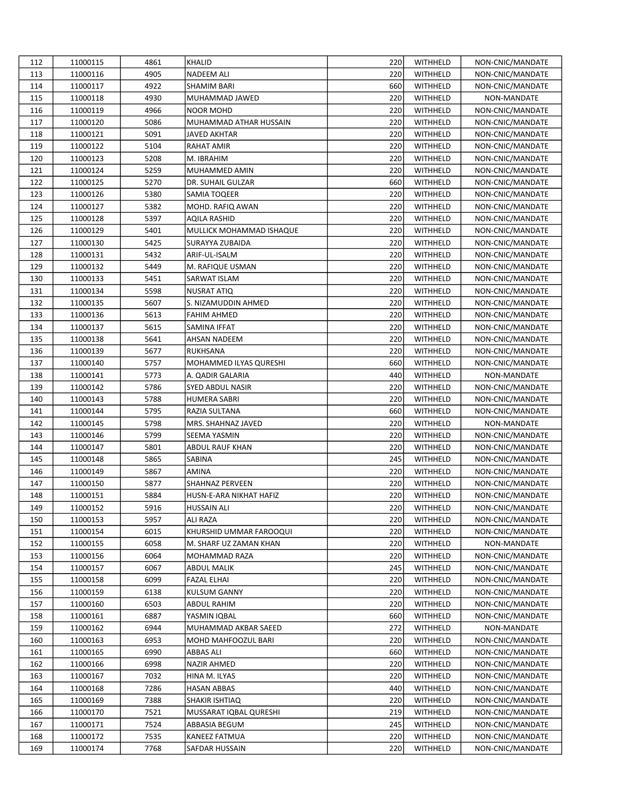| 112 | 11000115 | 4861 | KHALID                   | 220 | WITHHELD | NON-CNIC/MANDATE |
|-----|----------|------|--------------------------|-----|----------|------------------|
| 113 | 11000116 | 4905 | NADEEM ALI               | 220 | WITHHELD | NON-CNIC/MANDATE |
| 114 | 11000117 | 4922 | SHAMIM BARI              | 660 | WITHHELD | NON-CNIC/MANDATE |
| 115 | 11000118 | 4930 | MUHAMMAD JAWED           | 220 | WITHHELD | NON-MANDATE      |
| 116 | 11000119 | 4966 | NOOR MOHD                | 220 | WITHHELD | NON-CNIC/MANDATE |
| 117 | 11000120 | 5086 | MUHAMMAD ATHAR HUSSAIN   | 220 | WITHHELD | NON-CNIC/MANDATE |
| 118 | 11000121 | 5091 | JAVED AKHTAR             | 220 | WITHHELD | NON-CNIC/MANDATE |
| 119 | 11000122 | 5104 | RAHAT AMIR               | 220 | WITHHELD | NON-CNIC/MANDATE |
| 120 | 11000123 | 5208 | M. IBRAHIM               | 220 | WITHHELD | NON-CNIC/MANDATE |
| 121 | 11000124 | 5259 | MUHAMMED AMIN            | 220 | WITHHELD | NON-CNIC/MANDATE |
| 122 | 11000125 | 5270 | DR. SUHAIL GULZAR        | 660 | WITHHELD | NON-CNIC/MANDATE |
| 123 | 11000126 | 5380 | SAMIA TOQEER             | 220 | WITHHELD | NON-CNIC/MANDATE |
| 124 | 11000127 | 5382 | MOHD. RAFIQ AWAN         | 220 | WITHHELD | NON-CNIC/MANDATE |
| 125 | 11000128 | 5397 | AQILA RASHID             | 220 | WITHHELD | NON-CNIC/MANDATE |
| 126 | 11000129 | 5401 | MULLICK MOHAMMAD ISHAQUE | 220 | WITHHELD | NON-CNIC/MANDATE |
| 127 | 11000130 | 5425 | SURAYYA ZUBAIDA          | 220 | WITHHELD | NON-CNIC/MANDATE |
| 128 | 11000131 | 5432 | ARIF-UL-ISALM            | 220 | WITHHELD | NON-CNIC/MANDATE |
| 129 | 11000132 | 5449 | M. RAFIQUE USMAN         | 220 | WITHHELD | NON-CNIC/MANDATE |
| 130 | 11000133 | 5451 | SARWAT ISLAM             | 220 | WITHHELD | NON-CNIC/MANDATE |
| 131 | 11000134 | 5598 | NUSRAT ATIQ              | 220 | WITHHELD | NON-CNIC/MANDATE |
| 132 | 11000135 | 5607 | S. NIZAMUDDIN AHMED      | 220 | WITHHELD | NON-CNIC/MANDATE |
| 133 | 11000136 | 5613 | FAHIM AHMED              | 220 | WITHHELD | NON-CNIC/MANDATE |
| 134 | 11000137 | 5615 | SAMINA IFFAT             | 220 | WITHHELD | NON-CNIC/MANDATE |
| 135 | 11000138 | 5641 | AHSAN NADEEM             | 220 | WITHHELD | NON-CNIC/MANDATE |
| 136 | 11000139 | 5677 | <b>RUKHSANA</b>          | 220 | WITHHELD | NON-CNIC/MANDATE |
| 137 | 11000140 | 5757 | MOHAMMED ILYAS QURESHI   | 660 | WITHHELD | NON-CNIC/MANDATE |
| 138 | 11000141 | 5773 | A. QADIR GALARIA         | 440 | WITHHELD | NON-MANDATE      |
| 139 | 11000142 | 5786 | SYED ABDUL NASIR         | 220 | WITHHELD | NON-CNIC/MANDATE |
| 140 | 11000143 | 5788 | HUMERA SABRI             | 220 | WITHHELD | NON-CNIC/MANDATE |
| 141 | 11000144 | 5795 | RAZIA SULTANA            | 660 | WITHHELD | NON-CNIC/MANDATE |
| 142 | 11000145 | 5798 | MRS. SHAHNAZ JAVED       | 220 | WITHHELD | NON-MANDATE      |
| 143 | 11000146 | 5799 | SEEMA YASMIN             | 220 | WITHHELD | NON-CNIC/MANDATE |
| 144 | 11000147 | 5801 | ABDUL RAUF KHAN          | 220 | WITHHELD | NON-CNIC/MANDATE |
| 145 | 11000148 | 5865 | SABINA                   | 245 | WITHHELD | NON-CNIC/MANDATE |
| 146 | 11000149 | 5867 | AMINA                    | 220 | WITHHELD | NON-CNIC/MANDATE |
| 147 | 11000150 | 5877 | SHAHNAZ PERVEEN          | 220 | WITHHELD | NON-CNIC/MANDATE |
| 148 | 11000151 | 5884 | HUSN-E-ARA NIKHAT HAFIZ  | 220 | WITHHELD | NON-CNIC/MANDATE |
| 149 | 11000152 | 5916 | <b>HUSSAIN ALI</b>       | 220 | WITHHELD | NON-CNIC/MANDATE |
| 150 | 11000153 | 5957 | <b>ALI RAZA</b>          | 220 | WITHHELD | NON-CNIC/MANDATE |
| 151 | 11000154 | 6015 | KHURSHID UMMAR FAROOQUI  | 220 | WITHHELD | NON-CNIC/MANDATE |
| 152 | 11000155 | 6058 | M. SHARF UZ ZAMAN KHAN   | 220 | WITHHELD | NON-MANDATE      |
| 153 | 11000156 | 6064 | MOHAMMAD RAZA            | 220 | WITHHELD | NON-CNIC/MANDATE |
| 154 | 11000157 | 6067 | ABDUL MALIK              | 245 | WITHHELD | NON-CNIC/MANDATE |
| 155 | 11000158 | 6099 | FAZAL ELHAI              | 220 | WITHHELD | NON-CNIC/MANDATE |
| 156 | 11000159 | 6138 | KULSUM GANNY             | 220 | WITHHELD | NON-CNIC/MANDATE |
| 157 | 11000160 | 6503 | ABDUL RAHIM              | 220 | WITHHELD | NON-CNIC/MANDATE |
| 158 | 11000161 | 6887 | YASMIN IQBAL             | 660 | WITHHELD | NON-CNIC/MANDATE |
| 159 | 11000162 | 6944 | MUHAMMAD AKBAR SAEED     | 272 | WITHHELD | NON-MANDATE      |
| 160 | 11000163 | 6953 | MOHD MAHFOOZUL BARI      | 220 | WITHHELD | NON-CNIC/MANDATE |
| 161 | 11000165 | 6990 | ABBAS ALI                | 660 | WITHHELD | NON-CNIC/MANDATE |
| 162 | 11000166 | 6998 | NAZIR AHMED              | 220 | WITHHELD | NON-CNIC/MANDATE |
| 163 | 11000167 | 7032 | HINA M. ILYAS            | 220 | WITHHELD | NON-CNIC/MANDATE |
| 164 | 11000168 | 7286 | HASAN ABBAS              | 440 | WITHHELD | NON-CNIC/MANDATE |
| 165 | 11000169 | 7388 | SHAKIR ISHTIAQ           | 220 | WITHHELD | NON-CNIC/MANDATE |
| 166 | 11000170 | 7521 | MUSSARAT IQBAL QURESHI   | 219 | WITHHELD | NON-CNIC/MANDATE |
| 167 | 11000171 | 7524 | ABBASIA BEGUM            | 245 | WITHHELD | NON-CNIC/MANDATE |
| 168 | 11000172 | 7535 | KANEEZ FATMUA            | 220 | WITHHELD | NON-CNIC/MANDATE |
| 169 | 11000174 | 7768 | SAFDAR HUSSAIN           | 220 | WITHHELD | NON-CNIC/MANDATE |
|     |          |      |                          |     |          |                  |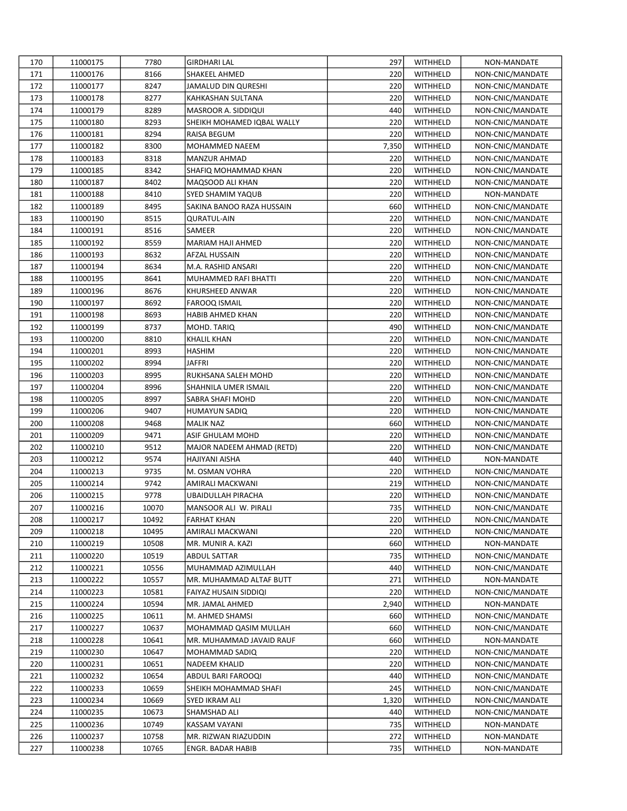| 170 | 11000175 | 7780  | <b>GIRDHARI LAL</b>        | 297   | WITHHELD | NON-MANDATE      |
|-----|----------|-------|----------------------------|-------|----------|------------------|
| 171 | 11000176 | 8166  | SHAKEEL AHMED              | 220   | WITHHELD | NON-CNIC/MANDATE |
| 172 | 11000177 | 8247  | JAMALUD DIN QURESHI        | 220   | WITHHELD | NON-CNIC/MANDATE |
| 173 | 11000178 | 8277  | KAHKASHAN SULTANA          | 220   | WITHHELD | NON-CNIC/MANDATE |
| 174 | 11000179 | 8289  | MASROOR A. SIDDIQUI        | 440   | WITHHELD | NON-CNIC/MANDATE |
| 175 | 11000180 | 8293  | SHEIKH MOHAMED IQBAL WALLY | 220   | WITHHELD | NON-CNIC/MANDATE |
| 176 | 11000181 | 8294  | RAISA BEGUM                | 220   | WITHHELD | NON-CNIC/MANDATE |
| 177 | 11000182 | 8300  | MOHAMMED NAEEM             | 7,350 | WITHHELD | NON-CNIC/MANDATE |
| 178 | 11000183 | 8318  | <b>MANZUR AHMAD</b>        | 220   | WITHHELD | NON-CNIC/MANDATE |
| 179 | 11000185 | 8342  | SHAFIQ MOHAMMAD KHAN       | 220   | WITHHELD | NON-CNIC/MANDATE |
| 180 | 11000187 | 8402  | MAQSOOD ALI KHAN           | 220   | WITHHELD | NON-CNIC/MANDATE |
| 181 | 11000188 | 8410  | SYED SHAMIM YAQUB          | 220   | WITHHELD | NON-MANDATE      |
| 182 | 11000189 | 8495  | SAKINA BANOO RAZA HUSSAIN  | 660   | WITHHELD | NON-CNIC/MANDATE |
| 183 | 11000190 | 8515  | <b>QURATUL-AIN</b>         | 220   | WITHHELD | NON-CNIC/MANDATE |
| 184 | 11000191 | 8516  | SAMEER                     | 220   | WITHHELD | NON-CNIC/MANDATE |
| 185 | 11000192 | 8559  | MARIAM HAJI AHMED          | 220   | WITHHELD | NON-CNIC/MANDATE |
| 186 | 11000193 | 8632  | <b>AFZAL HUSSAIN</b>       | 220   | WITHHELD | NON-CNIC/MANDATE |
| 187 | 11000194 | 8634  | M.A. RASHID ANSARI         | 220   | WITHHELD | NON-CNIC/MANDATE |
| 188 | 11000195 | 8641  | MUHAMMED RAFI BHATTI       | 220   | WITHHELD | NON-CNIC/MANDATE |
| 189 | 11000196 | 8676  | KHURSHEED ANWAR            | 220   | WITHHELD | NON-CNIC/MANDATE |
| 190 | 11000197 | 8692  | FAROOQ ISMAIL              | 220   | WITHHELD | NON-CNIC/MANDATE |
| 191 | 11000198 | 8693  | HABIB AHMED KHAN           | 220   | WITHHELD | NON-CNIC/MANDATE |
| 192 | 11000199 | 8737  | MOHD. TARIQ                | 490   | WITHHELD | NON-CNIC/MANDATE |
| 193 | 11000200 | 8810  | <b>KHALIL KHAN</b>         | 220   | WITHHELD | NON-CNIC/MANDATE |
| 194 | 11000201 | 8993  | HASHIM                     | 220   | WITHHELD | NON-CNIC/MANDATE |
| 195 | 11000202 | 8994  | JAFFRI                     | 220   | WITHHELD | NON-CNIC/MANDATE |
| 196 | 11000203 | 8995  | RUKHSANA SALEH MOHD        | 220   | WITHHELD | NON-CNIC/MANDATE |
| 197 | 11000204 | 8996  | SHAHNILA UMER ISMAIL       | 220   | WITHHELD | NON-CNIC/MANDATE |
| 198 | 11000205 | 8997  | SABRA SHAFI MOHD           | 220   | WITHHELD | NON-CNIC/MANDATE |
| 199 | 11000206 | 9407  | HUMAYUN SADIQ              | 220   | WITHHELD | NON-CNIC/MANDATE |
| 200 | 11000208 | 9468  | <b>MALIK NAZ</b>           | 660   | WITHHELD | NON-CNIC/MANDATE |
| 201 | 11000209 | 9471  | ASIF GHULAM MOHD           | 220   | WITHHELD | NON-CNIC/MANDATE |
| 202 | 11000210 | 9512  | MAJOR NADEEM AHMAD (RETD)  | 220   | WITHHELD | NON-CNIC/MANDATE |
| 203 | 11000212 | 9574  | HAJIYANI AISHA             | 440   | WITHHELD | NON-MANDATE      |
| 204 | 11000213 | 9735  | M. OSMAN VOHRA             | 220   | WITHHELD | NON-CNIC/MANDATE |
| 205 | 11000214 | 9742  | AMIRALI MACKWANI           | 219   | WITHHELD | NON-CNIC/MANDATE |
| 206 | 11000215 | 9778  | UBAIDULLAH PIRACHA         | 220   | WITHHELD | NON-CNIC/MANDATE |
| 207 | 11000216 | 10070 | MANSOOR ALI W. PIRALI      | 735   | WITHHELD | NON-CNIC/MANDATE |
| 208 | 11000217 | 10492 | <b>FARHAT KHAN</b>         | 220   | WITHHELD | NON-CNIC/MANDATE |
| 209 | 11000218 | 10495 | AMIRALI MACKWANI           | 220   | WITHHELD | NON-CNIC/MANDATE |
| 210 | 11000219 | 10508 | MR. MUNIR A. KAZI          | 660   | WITHHELD | NON-MANDATE      |
| 211 | 11000220 | 10519 | <b>ABDUL SATTAR</b>        | 735   | WITHHELD | NON-CNIC/MANDATE |
| 212 | 11000221 | 10556 | MUHAMMAD AZIMULLAH         | 440   | WITHHELD | NON-CNIC/MANDATE |
| 213 | 11000222 | 10557 | MR. MUHAMMAD ALTAF BUTT    | 271   | WITHHELD | NON-MANDATE      |
| 214 | 11000223 | 10581 | FAIYAZ HUSAIN SIDDIQI      | 220   | WITHHELD | NON-CNIC/MANDATE |
| 215 | 11000224 | 10594 | MR. JAMAL AHMED            | 2,940 | WITHHELD | NON-MANDATE      |
| 216 | 11000225 | 10611 | M. AHMED SHAMSI            | 660   | WITHHELD | NON-CNIC/MANDATE |
| 217 | 11000227 | 10637 | MOHAMMAD QASIM MULLAH      | 660   | WITHHELD | NON-CNIC/MANDATE |
| 218 | 11000228 | 10641 | MR. MUHAMMAD JAVAID RAUF   | 660   | WITHHELD | NON-MANDATE      |
| 219 | 11000230 | 10647 | MOHAMMAD SADIQ             | 220   | WITHHELD | NON-CNIC/MANDATE |
| 220 | 11000231 | 10651 | NADEEM KHALID              | 220   | WITHHELD | NON-CNIC/MANDATE |
| 221 | 11000232 | 10654 | ABDUL BARI FAROOQI         | 440   | WITHHELD | NON-CNIC/MANDATE |
| 222 | 11000233 | 10659 | SHEIKH MOHAMMAD SHAFI      | 245   | WITHHELD | NON-CNIC/MANDATE |
| 223 | 11000234 | 10669 | SYED IKRAM ALI             | 1,320 | WITHHELD | NON-CNIC/MANDATE |
| 224 | 11000235 | 10673 | SHAMSHAD ALI               | 440   | WITHHELD | NON-CNIC/MANDATE |
| 225 | 11000236 | 10749 | KASSAM VAYANI              | 735   | WITHHELD | NON-MANDATE      |
| 226 | 11000237 | 10758 | MR. RIZWAN RIAZUDDIN       | 272   | WITHHELD | NON-MANDATE      |
| 227 | 11000238 | 10765 | ENGR. BADAR HABIB          | 735   | WITHHELD | NON-MANDATE      |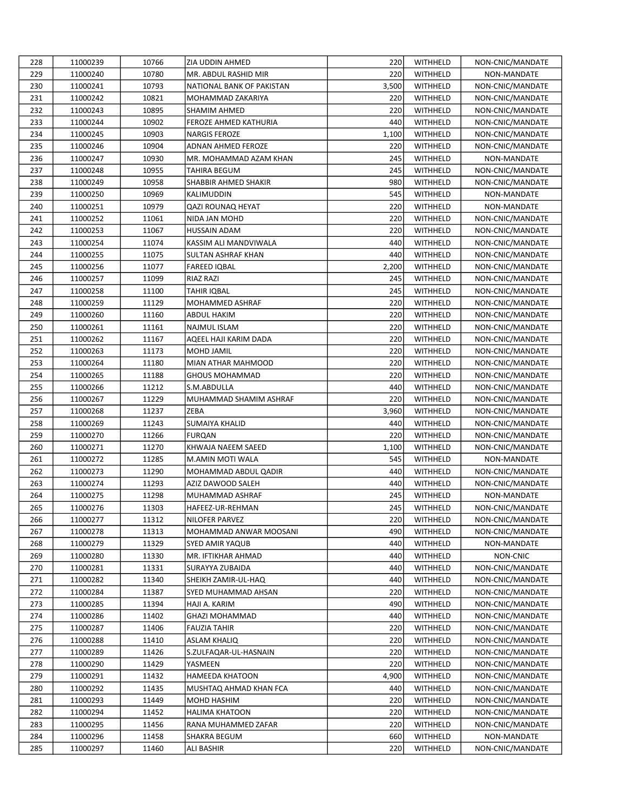| 228 | 11000239             | 10766 | ZIA UDDIN AHMED           | 220        | WITHHELD             | NON-CNIC/MANDATE |
|-----|----------------------|-------|---------------------------|------------|----------------------|------------------|
| 229 | 11000240             | 10780 | MR. ABDUL RASHID MIR      | 220        | WITHHELD             | NON-MANDATE      |
| 230 | 11000241             | 10793 | NATIONAL BANK OF PAKISTAN | 3,500      | WITHHELD             | NON-CNIC/MANDATE |
| 231 | 11000242             | 10821 | MOHAMMAD ZAKARIYA         | 220        | WITHHELD             | NON-CNIC/MANDATE |
| 232 | 11000243             | 10895 | SHAMIM AHMED              | 220        | WITHHELD             | NON-CNIC/MANDATE |
| 233 | 11000244             | 10902 | FEROZE AHMED KATHURIA     | 440        | WITHHELD             | NON-CNIC/MANDATE |
| 234 | 11000245             | 10903 | <b>NARGIS FEROZE</b>      | 1,100      | WITHHELD             | NON-CNIC/MANDATE |
| 235 | 11000246             | 10904 | ADNAN AHMED FEROZE        | 220        | WITHHELD             | NON-CNIC/MANDATE |
| 236 | 11000247             | 10930 | MR. MOHAMMAD AZAM KHAN    | 245        | WITHHELD             | NON-MANDATE      |
| 237 | 11000248             | 10955 | TAHIRA BEGUM              | 245        | WITHHELD             | NON-CNIC/MANDATE |
| 238 | 11000249             | 10958 | SHABBIR AHMED SHAKIR      | 980        | WITHHELD             | NON-CNIC/MANDATE |
| 239 | 11000250             | 10969 | KALIMUDDIN                | 545        | WITHHELD             | NON-MANDATE      |
| 240 | 11000251             | 10979 | QAZI ROUNAQ HEYAT         | 220        | WITHHELD             | NON-MANDATE      |
| 241 | 11000252             | 11061 | NIDA JAN MOHD             | 220        | WITHHELD             | NON-CNIC/MANDATE |
| 242 | 11000253             | 11067 | HUSSAIN ADAM              | 220        | WITHHELD             | NON-CNIC/MANDATE |
| 243 | 11000254             | 11074 | KASSIM ALI MANDVIWALA     | 440        | WITHHELD             | NON-CNIC/MANDATE |
| 244 | 11000255             | 11075 | SULTAN ASHRAF KHAN        | 440        | WITHHELD             | NON-CNIC/MANDATE |
| 245 | 11000256             | 11077 | <b>FAREED IQBAL</b>       | 2,200      | WITHHELD             | NON-CNIC/MANDATE |
| 246 | 11000257             | 11099 | RIAZ RAZI                 | 245        | WITHHELD             | NON-CNIC/MANDATE |
| 247 | 11000258             | 11100 | <b>TAHIR IQBAL</b>        | 245        | WITHHELD             | NON-CNIC/MANDATE |
| 248 | 11000259             | 11129 | MOHAMMED ASHRAF           | 220        | WITHHELD             | NON-CNIC/MANDATE |
| 249 | 11000260             | 11160 | <b>ABDUL HAKIM</b>        | 220        | WITHHELD             | NON-CNIC/MANDATE |
| 250 | 11000261             | 11161 | <b>NAJMUL ISLAM</b>       | 220        | WITHHELD             | NON-CNIC/MANDATE |
| 251 | 11000262             | 11167 | AQEEL HAJI KARIM DADA     | 220        | <b>WITHHELD</b>      | NON-CNIC/MANDATE |
| 252 | 11000263             | 11173 | MOHD JAMIL                | 220        | WITHHELD             | NON-CNIC/MANDATE |
| 253 | 11000264             | 11180 | MIAN ATHAR MAHMOOD        | 220        | WITHHELD             | NON-CNIC/MANDATE |
| 254 | 11000265             | 11188 | <b>GHOUS MOHAMMAD</b>     | 220        | WITHHELD             | NON-CNIC/MANDATE |
| 255 | 11000266             | 11212 | S.M.ABDULLA               | 440        | WITHHELD             | NON-CNIC/MANDATE |
| 256 |                      | 11229 | MUHAMMAD SHAMIM ASHRAF    | 220        |                      | NON-CNIC/MANDATE |
| 257 | 11000267<br>11000268 | 11237 | ZEBA                      | 3,960      | WITHHELD<br>WITHHELD | NON-CNIC/MANDATE |
|     |                      |       |                           |            |                      |                  |
|     |                      |       |                           |            |                      |                  |
| 258 | 11000269             | 11243 | SUMAIYA KHALID            | 440        | WITHHELD             | NON-CNIC/MANDATE |
| 259 | 11000270             | 11266 | <b>FURQAN</b>             | 220        | WITHHELD             | NON-CNIC/MANDATE |
| 260 | 11000271             | 11270 | KHWAJA NAEEM SAEED        | 1,100      | WITHHELD             | NON-CNIC/MANDATE |
| 261 | 11000272             | 11285 | M.AMIN MOTI WALA          | 545        | WITHHELD             | NON-MANDATE      |
| 262 | 11000273             | 11290 | MOHAMMAD ABDUL QADIR      | 440        | WITHHELD             | NON-CNIC/MANDATE |
| 263 | 11000274             | 11293 | AZIZ DAWOOD SALEH         | 440        | WITHHELD             | NON-CNIC/MANDATE |
| 264 | 11000275             | 11298 | MUHAMMAD ASHRAF           | 245        | WITHHELD             | NON-MANDATE      |
| 265 | 11000276             | 11303 | HAFEEZ-UR-REHMAN          | 245        | WITHHELD             | NON-CNIC/MANDATE |
| 266 | 11000277             | 11312 | <b>NILOFER PARVEZ</b>     | 220        | WITHHELD             | NON-CNIC/MANDATE |
| 267 | 11000278             | 11313 | MOHAMMAD ANWAR MOOSANI    | 490        | WITHHELD             | NON-CNIC/MANDATE |
| 268 | 11000279             | 11329 | SYED AMIR YAQUB           | 440        | WITHHELD             | NON-MANDATE      |
| 269 | 11000280             | 11330 | MR. IFTIKHAR AHMAD        | 440        | WITHHELD             | NON-CNIC         |
| 270 | 11000281             | 11331 | SURAYYA ZUBAIDA           | 440        | WITHHELD             | NON-CNIC/MANDATE |
| 271 | 11000282             | 11340 | SHEIKH ZAMIR-UL-HAQ       | 440        | WITHHELD             | NON-CNIC/MANDATE |
| 272 | 11000284             | 11387 | SYED MUHAMMAD AHSAN       | 220        | WITHHELD             | NON-CNIC/MANDATE |
| 273 | 11000285             | 11394 | HAJI A. KARIM             | 490        | WITHHELD             | NON-CNIC/MANDATE |
| 274 | 11000286             | 11402 | GHAZI MOHAMMAD            | 440        | WITHHELD             | NON-CNIC/MANDATE |
| 275 | 11000287             | 11406 | FAUZIA TAHIR              | 220        | WITHHELD             | NON-CNIC/MANDATE |
| 276 | 11000288             | 11410 | ASLAM KHALIQ              | 220        | WITHHELD             | NON-CNIC/MANDATE |
| 277 | 11000289             | 11426 | S.ZULFAQAR-UL-HASNAIN     | 220        | WITHHELD             | NON-CNIC/MANDATE |
| 278 | 11000290             | 11429 | YASMEEN                   | 220        | WITHHELD             | NON-CNIC/MANDATE |
| 279 | 11000291             | 11432 | HAMEEDA KHATOON           | 4,900      | WITHHELD             | NON-CNIC/MANDATE |
| 280 | 11000292             | 11435 | MUSHTAQ AHMAD KHAN FCA    | 440        | WITHHELD             | NON-CNIC/MANDATE |
| 281 | 11000293             | 11449 | MOHD HASHIM               | 220        | WITHHELD             | NON-CNIC/MANDATE |
| 282 | 11000294             | 11452 | HALIMA KHATOON            | 220        | WITHHELD             | NON-CNIC/MANDATE |
| 283 | 11000295             | 11456 | RANA MUHAMMED ZAFAR       | 220        | WITHHELD             | NON-CNIC/MANDATE |
| 284 | 11000296             | 11458 | SHAKRA BEGUM              | 660<br>220 | WITHHELD             | NON-MANDATE      |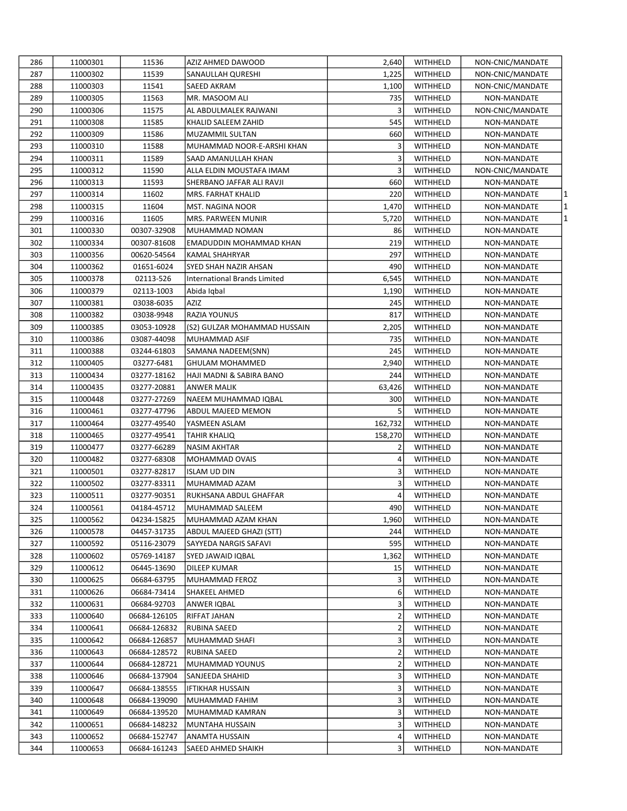| 286 | 11000301             | 11536        | AZIZ AHMED DAWOOD                  | 2,640          | WITHHELD        | NON-CNIC/MANDATE           |
|-----|----------------------|--------------|------------------------------------|----------------|-----------------|----------------------------|
| 287 | 11000302             | 11539        | SANAULLAH QURESHI                  | 1,225          | WITHHELD        | NON-CNIC/MANDATE           |
| 288 | 11000303             | 11541        | SAEED AKRAM                        | 1,100          | WITHHELD        | NON-CNIC/MANDATE           |
| 289 | 11000305             | 11563        | MR. MASOOM ALI                     | 735            | WITHHELD        | NON-MANDATE                |
| 290 | 11000306             | 11575        | AL ABDULMALEK RAJWANI              | 3              | WITHHELD        | NON-CNIC/MANDATE           |
| 291 | 11000308             | 11585        | KHALID SALEEM ZAHID                | 545            | WITHHELD        | NON-MANDATE                |
| 292 | 11000309             | 11586        | MUZAMMIL SULTAN                    | 660            | WITHHELD        | NON-MANDATE                |
| 293 | 11000310             | 11588        | MUHAMMAD NOOR-E-ARSHI KHAN         | 3              | WITHHELD        | NON-MANDATE                |
| 294 | 11000311             | 11589        | SAAD AMANULLAH KHAN                | 3              | WITHHELD        | NON-MANDATE                |
| 295 | 11000312             | 11590        | ALLA ELDIN MOUSTAFA IMAM           | 3              | WITHHELD        | NON-CNIC/MANDATE           |
| 296 | 11000313             | 11593        | SHERBANO JAFFAR ALI RAVJI          | 660            | WITHHELD        | NON-MANDATE                |
| 297 | 11000314             | 11602        | MRS. FARHAT KHALID                 | 220            | WITHHELD        | NON-MANDATE<br>1           |
| 298 | 11000315             | 11604        | MST. NAGINA NOOR                   | 1,470          | WITHHELD        | 11<br>NON-MANDATE          |
| 299 | 11000316             | 11605        | MRS. PARWEEN MUNIR                 | 5,720          | WITHHELD        | 1<br>NON-MANDATE           |
| 301 | 11000330             | 00307-32908  | MUHAMMAD NOMAN                     | 86             | WITHHELD        | NON-MANDATE                |
| 302 | 11000334             | 00307-81608  | EMADUDDIN MOHAMMAD KHAN            | 219            | WITHHELD        | NON-MANDATE                |
| 303 | 11000356             | 00620-54564  | KAMAL SHAHRYAR                     | 297            | WITHHELD        | NON-MANDATE                |
| 304 | 11000362             | 01651-6024   | SYED SHAH NAZIR AHSAN              | 490            | WITHHELD        | NON-MANDATE                |
| 305 | 11000378             | 02113-526    | International Brands Limited       | 6,545          | <b>WITHHELD</b> | NON-MANDATE                |
| 306 | 11000379             | 02113-1003   | Abida Iqbal                        | 1,190          | WITHHELD        | NON-MANDATE                |
| 307 | 11000381             | 03038-6035   | AZIZ                               | 245            | WITHHELD        | NON-MANDATE                |
| 308 | 11000382             | 03038-9948   | RAZIA YOUNUS                       | 817            | WITHHELD        | NON-MANDATE                |
| 309 | 11000385             | 03053-10928  | (S2) GULZAR MOHAMMAD HUSSAIN       | 2,205          | <b>WITHHELD</b> | NON-MANDATE                |
| 310 | 11000386             | 03087-44098  | MUHAMMAD ASIF                      | 735            | WITHHELD        | NON-MANDATE                |
| 311 | 11000388             | 03244-61803  | SAMANA NADEEM(SNN)                 | 245            | WITHHELD        | NON-MANDATE                |
| 312 | 11000405             | 03277-6481   | GHULAM MOHAMMED                    | 2,940          | WITHHELD        | NON-MANDATE                |
| 313 | 11000434             | 03277-18162  | HAJI MADNI & SABIRA BANO           | 244            | WITHHELD        | NON-MANDATE                |
| 314 | 11000435             | 03277-20881  | ANWER MALIK                        | 63,426         | WITHHELD        | NON-MANDATE                |
| 315 | 11000448             | 03277-27269  | NAEEM MUHAMMAD IQBAL               | 300            | WITHHELD        | NON-MANDATE                |
| 316 | 11000461             | 03277-47796  | ABDUL MAJEED MEMON                 | 5              | WITHHELD        | NON-MANDATE                |
| 317 | 11000464             | 03277-49540  | YASMEEN ASLAM                      | 162,732        | WITHHELD        | NON-MANDATE                |
| 318 | 11000465             | 03277-49541  | TAHIR KHALIQ                       | 158,270        | WITHHELD        | NON-MANDATE                |
| 319 | 11000477             | 03277-66289  | NASIM AKHTAR                       | 2              | WITHHELD        | NON-MANDATE                |
| 320 | 11000482             | 03277-68308  | MOHAMMAD OVAIS                     | 4              | WITHHELD        | NON-MANDATE                |
| 321 | 11000501             | 03277-82817  | <b>ISLAM UD DIN</b>                | 3              | WITHHELD        | NON-MANDATE                |
| 322 | 11000502             | 03277-83311  | MUHAMMAD AZAM                      | 3              | WITHHELD        | NON-MANDATE                |
| 323 | 11000511             | 03277-90351  | RUKHSANA ABDUL GHAFFAR             | 4              | WITHHELD        | NON-MANDATE                |
| 324 | 11000561             | 04184-45712  | MUHAMMAD SALEEM                    | 490            | WITHHELD        | NON-MANDATE                |
| 325 | 11000562             | 04234-15825  | MUHAMMAD AZAM KHAN                 | 1,960          | WITHHELD        | NON-MANDATE                |
| 326 | 11000578             | 04457-31735  | ABDUL MAJEED GHAZI (STT)           | 244            | WITHHELD        | NON-MANDATE                |
| 327 | 11000592             | 05116-23079  | SAYYEDA NARGIS SAFAVI              | 595            | WITHHELD        | NON-MANDATE                |
| 328 | 11000602             | 05769-14187  | SYED JAWAID IQBAL                  | 1,362          | WITHHELD        | NON-MANDATE                |
| 329 | 11000612             | 06445-13690  | DILEEP KUMAR                       | 15             | WITHHELD        | NON-MANDATE                |
| 330 | 11000625             | 06684-63795  | MUHAMMAD FEROZ                     | 3              | WITHHELD        |                            |
| 331 | 11000626             | 06684-73414  | <b>SHAKEEL AHMED</b>               | 6              | WITHHELD        | NON-MANDATE<br>NON-MANDATE |
| 332 |                      |              |                                    | 3              | WITHHELD        |                            |
|     | 11000631<br>11000640 | 06684-92703  | ANWER IQBAL<br><b>RIFFAT JAHAN</b> |                |                 | NON-MANDATE                |
| 333 |                      | 06684-126105 |                                    | $\overline{2}$ | WITHHELD        | NON-MANDATE<br>NON-MANDATE |
| 334 | 11000641             | 06684-126832 | RUBINA SAEED                       | $\overline{2}$ | WITHHELD        |                            |
| 335 | 11000642             | 06684-126857 | MUHAMMAD SHAFI                     | 3              | WITHHELD        | NON-MANDATE                |
| 336 | 11000643             | 06684-128572 | RUBINA SAEED                       | $\overline{2}$ | WITHHELD        | NON-MANDATE                |
| 337 | 11000644             | 06684-128721 | MUHAMMAD YOUNUS                    | $\overline{2}$ | WITHHELD        | NON-MANDATE                |
| 338 | 11000646             | 06684-137904 | SANJEEDA SHAHID                    | 3              | WITHHELD        | NON-MANDATE                |
| 339 | 11000647             | 06684-138555 | <b>IFTIKHAR HUSSAIN</b>            | 3              | WITHHELD        | NON-MANDATE                |
| 340 | 11000648             | 06684-139090 | MUHAMMAD FAHIM                     | 3              | WITHHELD        | NON-MANDATE                |
| 341 | 11000649             | 06684-139520 | MUHAMMAD KAMRAN                    | 3              | WITHHELD        | NON-MANDATE                |
| 342 | 11000651             | 06684-148232 | MUNTAHA HUSSAIN                    | 3              | WITHHELD        | NON-MANDATE                |
| 343 | 11000652             | 06684-152747 | ANAMTA HUSSAIN                     | 4              | WITHHELD        | NON-MANDATE                |
| 344 | 11000653             | 06684-161243 | SAEED AHMED SHAIKH                 | 3              | WITHHELD        | NON-MANDATE                |